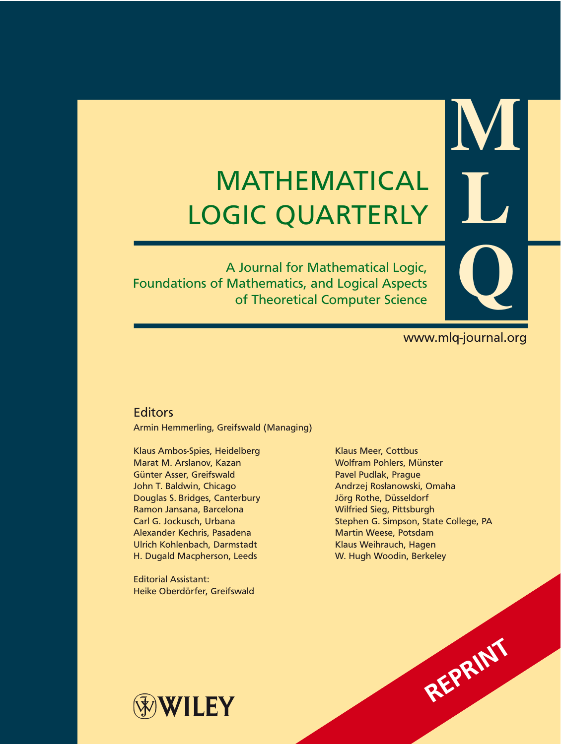# MATHEMATICAL LOGIC QUARTERLY

A Journal for Mathematical Logic, Foundations of Mathematics, and Logical Aspects of Theoretical Computer Science

www.mlq-journal.org

**M**

**L**

**Q**

# **Editors**

Armin Hemmerling, Greifswald (Managing)

Klaus Ambos-Spies, Heidelberg Klaus Meer, Cottbus Marat M. Arslanov, Kazan Wolfram Pohlers, Münster Günter Asser, Greifswald **Pavel Pudlak, Prague** John T. Baldwin, Chicago Andrzej Rosłanowski, Omaha Douglas S. Bridges, Canterbury Jörg Rothe, Düsseldorf Ramon Jansana, Barcelona Wilfried Sieg, Pittsburgh Alexander Kechris, Pasadena Martin Weese, Potsdam Ulrich Kohlenbach, Darmstadt Klaus Weihrauch, Hagen H. Dugald Macpherson, Leeds W. Hugh Woodin, Berkeley

Editorial Assistant: Heike Oberdörfer, Greifswald

Carl G. Jockusch, Urbana Stephen G. Simpson, State College, PA



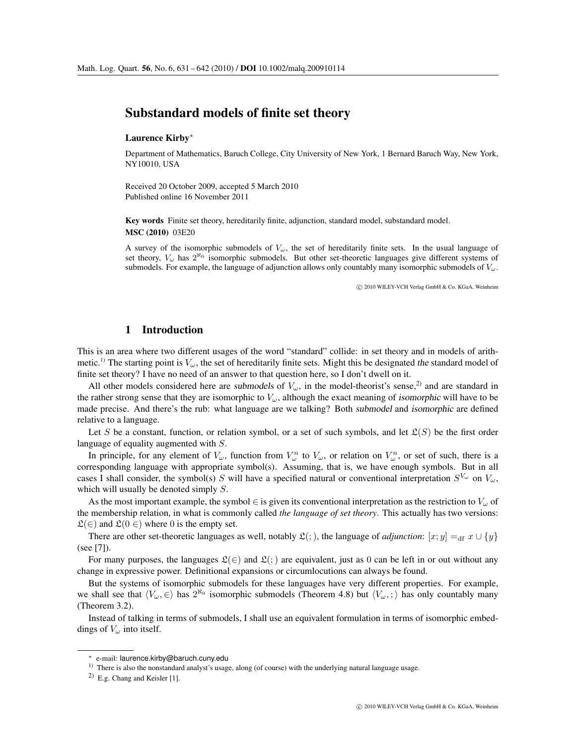# Substandard models of finite set theory

#### Laurence Kirby∗

Department of Mathematics, Baruch College, City University of New York, 1 Bernard Baruch Way, New York, NY10010, USA

Received 20 October 2009, accepted 5 March 2010 Published online 16 November 2011

Key words Finite set theory, hereditarily finite, adjunction, standard model, substandard model. MSC (2010) 03E20

A survey of the isomorphic submodels of  $V_{\omega}$ , the set of hereditarily finite sets. In the usual language of set theory,  $V_\omega$  has  $2^{N_0}$  isomorphic submodels. But other set-theoretic languages give different systems of submodels. For example, the language of adjunction allows only countably many isomorphic submodels of  $V_{\omega}$ .

c 2010 WILEY-VCH Verlag GmbH & Co. KGaA, Weinheim

## 1 Introduction

This is an area where two different usages of the word "standard" collide: in set theory and in models of arithmetic.<sup>1)</sup> The starting point is  $V_\omega$ , the set of hereditarily finite sets. Might this be designated *the* standard model of finite set theory? I have no need of an answer to that question here, so I don't dwell on it.

All other models considered here are *submodels* of  $V_\omega$ , in the model-theorist's sense,<sup>2)</sup> and are standard in the rather strong sense that they are isomorphic to  $V_\omega$ , although the exact meaning of *isomorphic* will have to be made precise. And there's the rub: what language are we talking? Both *submodel* and *isomorphic* are defined relative to a language.

Let S be a constant, function, or relation symbol, or a set of such symbols, and let  $\mathfrak{L}(S)$  be the first order language of equality augmented with S.

In principle, for any element of  $V_\omega$ , function from  $V_\omega^n$  to  $V_\omega$ , or relation on  $V_\omega^n$ , or set of such, there is a corresponding language with appropriate symbol(s). Assuming, that is, we have enough symbols. But in all cases I shall consider, the symbol(s) S will have a specified natural or conventional interpretation  $S^{V_\omega}$  on  $V_\omega$ , which will usually be denoted simply  $S$ .

As the most important example, the symbol  $\in$  is given its conventional interpretation as the restriction to  $V_\omega$  of the membership relation, in what is commonly called *the language of set theory*. This actually has two versions:  $\mathfrak{L}(\in)$  and  $\mathfrak{L}(0 \in)$  where 0 is the empty set.

There are other set-theoretic languages as well, notably  $\mathfrak{L}(\cdot)$ , the language of *adjunction*:  $[x; y] =_{df} x \cup \{y\}$ (see [7]).

For many purposes, the languages  $\mathfrak{L}(\in)$  and  $\mathfrak{L}(\in)$  are equivalent, just as 0 can be left in or out without any change in expressive power. Definitional expansions or circumlocutions can always be found.

But the systems of isomorphic submodels for these languages have very different properties. For example, we shall see that  $\langle V_\omega, \in \rangle$  has  $2^{\aleph_0}$  isomorphic submodels (Theorem 4.8) but  $\langle V_\omega, ; \rangle$  has only countably many (Theorem 3.2).

Instead of talking in terms of submodels, I shall use an equivalent formulation in terms of isomorphic embeddings of  $V_\omega$  into itself.

<sup>∗</sup> e-mail: laurence.kirby@baruch.cuny.edu

<sup>1)</sup> There is also the nonstandard analyst's usage, along (of course) with the underlying natural language usage.

<sup>2)</sup> E.g. Chang and Keisler [1].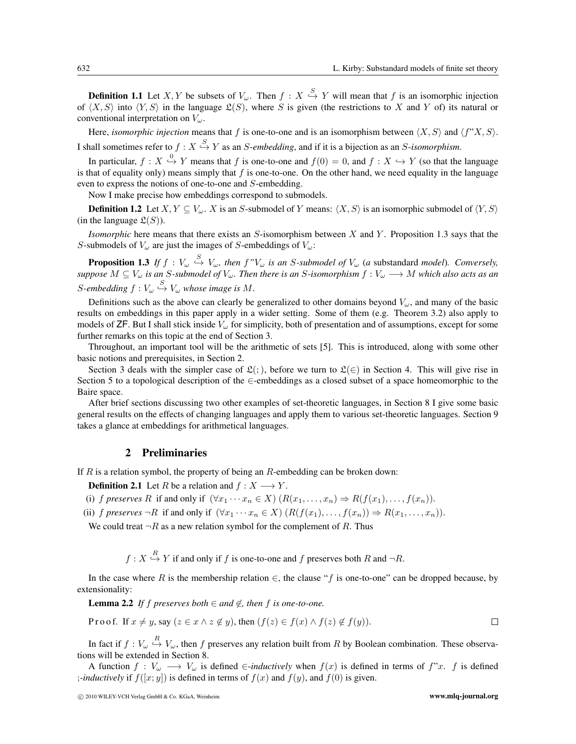**Definition 1.1** Let X, Y be subsets of  $V_\omega$ . Then  $f: X \stackrel{S}{\hookrightarrow} Y$  will mean that f is an isomorphic injection of  $\langle X, S \rangle$  into  $\langle Y, S \rangle$  in the language  $\mathfrak{L}(S)$ , where S is given (the restrictions to X and Y of) its natural or conventional interpretation on  $V_\omega$ .

Here, *isomorphic injection* means that f is one-to-one and is an isomorphism between  $\langle X, S \rangle$  and  $\langle f''X, S \rangle$ . I shall sometimes refer to  $f: X \stackrel{S}{\hookrightarrow} Y$  as an *S-embedding*, and if it is a bijection as an *S-isomorphism*.

In particular,  $f: X \stackrel{0}{\hookrightarrow} Y$  means that f is one-to-one and  $f(0) = 0$ , and  $f: X \hookrightarrow Y$  (so that the language is that of equality only) means simply that  $f$  is one-to-one. On the other hand, we need equality in the language even to express the notions of one-to-one and S-embedding.

Now I make precise how embeddings correspond to submodels.

**Definition 1.2** Let  $X, Y \subseteq V_\omega$ . X is an S-submodel of Y means:  $\langle X, S \rangle$  is an isomorphic submodel of  $\langle Y, S \rangle$ (in the language  $\mathfrak{L}(S)$ ).

*Isomorphic* here means that there exists an S-isomorphism between X and Y. Proposition 1.3 says that the S-submodels of  $V_\omega$  are just the images of S-embeddings of  $V_\omega$ :

**Proposition 1.3** If  $f: V_\omega \stackrel{S}{\hookrightarrow} V_\omega$ , then  $f''V_\omega$  is an S-submodel of  $V_\omega$  (a substandard model). Conversely, *suppose* M ⊆ V<sup>ω</sup> *is an* S*-submodel of* Vω*. Then there is an* S*-isomorphism* f : V<sup>ω</sup> −→ M *which also acts as an* S-embedding  $f: V_\omega \stackrel{S}{\hookrightarrow} V_\omega$  whose image is M.

Definitions such as the above can clearly be generalized to other domains beyond  $V_\omega$ , and many of the basic results on embeddings in this paper apply in a wider setting. Some of them (e.g. Theorem 3.2) also apply to models of  $\text{ZF}$ . But I shall stick inside  $V_\omega$  for simplicity, both of presentation and of assumptions, except for some further remarks on this topic at the end of Section 3.

Throughout, an important tool will be the arithmetic of sets [5]. This is introduced, along with some other basic notions and prerequisites, in Section 2.

Section 3 deals with the simpler case of  $\mathfrak{L}(\cdot)$ , before we turn to  $\mathfrak{L}(\in)$  in Section 4. This will give rise in Section 5 to a topological description of the ∈-embeddings as a closed subset of a space homeomorphic to the Baire space.

After brief sections discussing two other examples of set-theoretic languages, in Section 8 I give some basic general results on the effects of changing languages and apply them to various set-theoretic languages. Section 9 takes a glance at embeddings for arithmetical languages.

#### 2 Preliminaries

If R is a relation symbol, the property of being an R-embedding can be broken down:

**Definition 2.1** Let R be a relation and  $f : X \longrightarrow Y$ .

(i) *f preserves* R if and only if  $(\forall x_1 \cdots x_n \in X)$   $(R(x_1, \ldots, x_n) \Rightarrow R(f(x_1), \ldots, f(x_n))$ .

(ii) *f preserves*  $\neg R$  if and only if  $(\forall x_1 \cdots x_n \in X)$   $(R(f(x_1), \ldots, f(x_n)) \Rightarrow R(x_1, \ldots, x_n))$ .

We could treat  $\neg R$  as a new relation symbol for the complement of R. Thus

 $f: X \stackrel{R}{\hookrightarrow} Y$  if and only if f is one-to-one and f preserves both R and  $\neg R$ .

In the case where R is the membership relation  $\in$ , the clause "f is one-to-one" can be dropped because, by extensionality:

**Lemma 2.2** *If f preserves both* ∈ *and*  $\notin$ *, then f is one-to-one.* 

Proof. If 
$$
x \neq y
$$
, say  $(z \in x \land z \notin y)$ , then  $(f(z) \in f(x) \land f(z) \notin f(y))$ .

In fact if  $f: V_\omega \stackrel{R}{\hookrightarrow} V_\omega$ , then f preserves any relation built from R by Boolean combination. These observations will be extended in Section 8.

A function  $f: V_\omega \longrightarrow V_\omega$  is defined  $\in$ *-inductively* when  $f(x)$  is defined in terms of  $f''x$ . f is defined *;-inductively* if  $f([x, y])$  is defined in terms of  $f(x)$  and  $f(y)$ , and  $f(0)$  is given.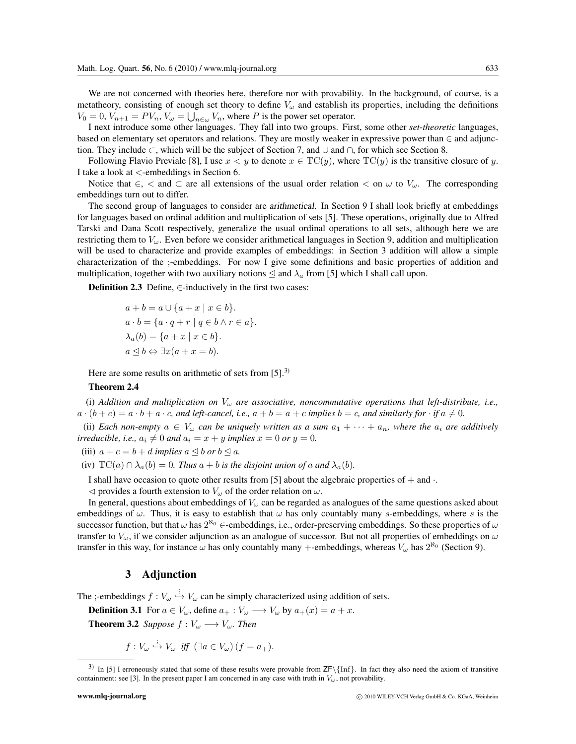We are not concerned with theories here, therefore nor with provability. In the background, of course, is a metatheory, consisting of enough set theory to define  $V_\omega$  and establish its properties, including the definitions  $V_0 = 0, V_{n+1} = PV_n, V_\omega = \bigcup_{n \in \omega} V_n$ , where P is the power set operator.

I next introduce some other languages. They fall into two groups. First, some other *set-theoretic* languages, based on elementary set operators and relations. They are mostly weaker in expressive power than ∈ and adjunction. They include ⊂, which will be the subject of Section 7, and ∪ and ∩, for which see Section 8.

Following Flavio Previale [8], I use  $x < y$  to denote  $x \in TC(y)$ , where  $TC(y)$  is the transitive closure of y. I take a look at <-embeddings in Section 6.

Notice that  $\epsilon$ ,  $\epsilon$  and  $\epsilon$  are all extensions of the usual order relation  $\epsilon$  on  $\omega$  to  $V_{\omega}$ . The corresponding embeddings turn out to differ.

The second group of languages to consider are *arithmetical*. In Section 9 I shall look briefly at embeddings for languages based on ordinal addition and multiplication of sets [5]. These operations, originally due to Alfred Tarski and Dana Scott respectively, generalize the usual ordinal operations to all sets, although here we are restricting them to  $V_{\omega}$ . Even before we consider arithmetical languages in Section 9, addition and multiplication will be used to characterize and provide examples of embeddings: in Section 3 addition will allow a simple characterization of the ;-embeddings. For now I give some definitions and basic properties of addition and multiplication, together with two auxiliary notions  $\leq$  and  $\lambda_a$  from [5] which I shall call upon.

**Definition 2.3** Define,  $∈$ -inductively in the first two cases:

$$
a + b = a \cup \{a + x \mid x \in b\}.
$$
  
\n
$$
a \cdot b = \{a \cdot q + r \mid q \in b \land r \in a\}.
$$
  
\n
$$
\lambda_a(b) = \{a + x \mid x \in b\}.
$$
  
\n
$$
a \leq b \Leftrightarrow \exists x(a + x = b).
$$

Here are some results on arithmetic of sets from  $[5]$ <sup>3)</sup>

#### Theorem 2.4

(i) *Addition and multiplication on* V<sup>ω</sup> *are associative, noncommutative operations that left-distribute, i.e.,*  $a \cdot (b + c) = a \cdot b + a \cdot c$ , and left-cancel, i.e.,  $a + b = a + c$  implies  $b = c$ , and similarly for  $\cdot$  if  $a \neq 0$ .

(ii) *Each non-empty*  $a \in V_\omega$  *can be uniquely written as a sum*  $a_1 + \cdots + a_n$ *, where the*  $a_i$  *are additively irreducible, i.e.,*  $a_i \neq 0$  *and*  $a_i = x + y$  *implies*  $x = 0$  *or*  $y = 0$ *.* 

(iii)  $a + c = b + d$  *implies*  $a \triangleleft b$  *or*  $b \triangleleft a$ *.* 

(iv)  $TC(a) \cap \lambda_a(b) = 0$ . Thus  $a + b$  is the disjoint union of a and  $\lambda_a(b)$ .

I shall have occasion to quote other results from [5] about the algebraic properties of  $+$  and  $\cdot$ .

 $\triangleleft$  provides a fourth extension to  $V_{\omega}$  of the order relation on  $\omega$ .

In general, questions about embeddings of  $V_\omega$  can be regarded as analogues of the same questions asked about embeddings of  $\omega$ . Thus, it is easy to establish that  $\omega$  has only countably many s-embeddings, where s is the successor function, but that  $\omega$  has  $2^{\aleph_0}$  ∈-embeddings, i.e., order-preserving embeddings. So these properties of  $\omega$ transfer to  $V_\omega$ , if we consider adjunction as an analogue of successor. But not all properties of embeddings on  $\omega$ transfer in this way, for instance  $\omega$  has only countably many +-embeddings, whereas  $V_\omega$  has  $2^{\aleph_0}$  (Section 9).

#### 3 Adjunction

The ;-embeddings  $f: V_\omega \stackrel{i}{\hookrightarrow} V_\omega$  can be simply characterized using addition of sets.

**Definition 3.1** For  $a \in V_\omega$ , define  $a_+ : V_\omega \longrightarrow V_\omega$  by  $a_+(x) = a + x$ . **Theorem 3.2** *Suppose*  $f: V_\omega \longrightarrow V_\omega$ *. Then* 

 $f: V_{\omega} \stackrel{i}{\hookrightarrow} V_{\omega}$  *iff*  $(\exists a \in V_{\omega}) (f = a_{+}).$ 

<sup>&</sup>lt;sup>3)</sup> In [5] I erroneously stated that some of these results were provable from  $ZF\{\text{Inf}\}$ . In fact they also need the axiom of transitive containment: see [3]. In the present paper I am concerned in any case with truth in  $V_\omega$ , not provability.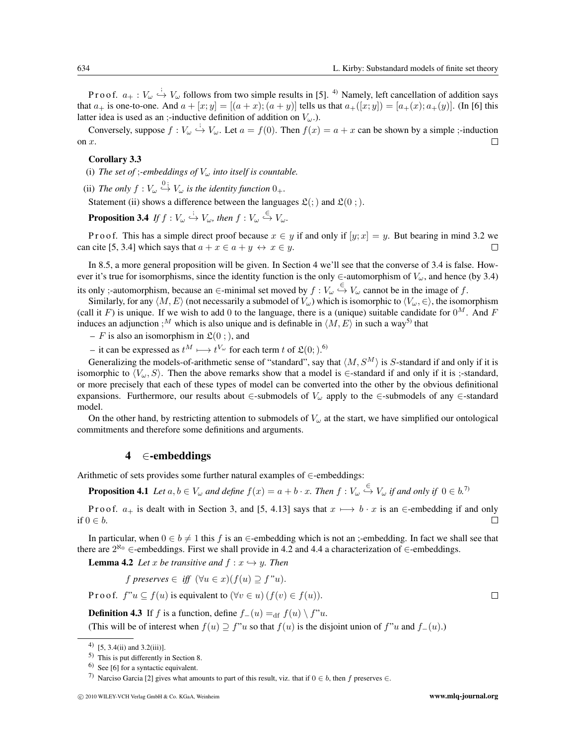P r o o f.  $a_+ : V_\omega \stackrel{i}{\hookrightarrow} V_\omega$  follows from two simple results in [5]. <sup>4)</sup> Namely, left cancellation of addition says that  $a_+$  is one-to-one. And  $a + [x; y] = [(a + x); (a + y)]$  tells us that  $a_+([x; y]) = [a_+(x); a_+(y)]$ . (In [6] this latter idea is used as an ;-inductive definition of addition on  $V_\omega$ .).

Conversely, suppose  $f: V_\omega \stackrel{i}{\hookrightarrow} V_\omega$ . Let  $a = f(0)$ . Then  $f(x) = a + x$  can be shown by a simple ;-induction on  $x$ .  $\Box$ 

#### Corollary 3.3

(i) The set of *;-embeddings of*  $V_{\omega}$  *into itself is countable.* 

(ii) The only  $f: V_\omega \stackrel{0}{\hookrightarrow} V_\omega$  is the identity function  $0_+$ .

Statement (ii) shows a difference between the languages  $\mathfrak{L}(\cdot)$  and  $\mathfrak{L}(0;)$ .

**Proposition 3.4** If  $f: V_\omega \stackrel{\vdots}{\hookrightarrow} V_\omega$ , then  $f: V_\omega \stackrel{\in}{\hookrightarrow} V_\omega$ .

P r o o f. This has a simple direct proof because  $x \in y$  if and only if  $[y; x] = y$ . But bearing in mind 3.2 we can cite [5, 3.4] which says that  $a + x \in a + y \leftrightarrow x \in y$ .  $\Box$ 

In 8.5, a more general proposition will be given. In Section 4 we'll see that the converse of 3.4 is false. However it's true for isomorphisms, since the identity function is the only  $\in$ -automorphism of  $V_\omega$ , and hence (by 3.4) its only ;-automorphism, because an  $\in$ -minimal set moved by  $f: V_\omega \overset{\leftarrow}{\hookrightarrow} V_\omega$  cannot be in the image of f.

Similarly, for any  $\langle M, E \rangle$  (not necessarily a submodel of  $V_\omega$ ) which is isomorphic to  $\langle V_\omega, \in \rangle$ , the isomorphism (call it F) is unique. If we wish to add 0 to the language, there is a (unique) suitable candidate for  $0^M$ . And F induces an adjunction ;<sup>M</sup> which is also unique and is definable in  $\langle M, E \rangle$  in such a way<sup>5)</sup> that

– F is also an isomorphism in  $\mathfrak{L}(0;)$ , and

− it can be expressed as  $t^M \longmapsto t^{V_\omega}$  for each term t of  $\mathfrak{L}(0; h^0)$ .

Generalizing the models-of-arithmetic sense of "standard", say that  $\langle M, S^M \rangle$  is S-standard if and only if it is isomorphic to  $\langle V_\omega, S \rangle$ . Then the above remarks show that a model is ∈-standard if and only if it is ;-standard, or more precisely that each of these types of model can be converted into the other by the obvious definitional expansions. Furthermore, our results about  $\in$ -submodels of  $V_\omega$  apply to the  $\in$ -submodels of any  $\in$ -standard model.

On the other hand, by restricting attention to submodels of  $V_\omega$  at the start, we have simplified our ontological commitments and therefore some definitions and arguments.

#### 4 ∈-embeddings

Arithmetic of sets provides some further natural examples of ∈-embeddings:

**Proposition 4.1** Let  $a, b \in V_\omega$  and define  $f(x) = a + b \cdot x$ . Then  $f: V_\omega \stackrel{\leftarrow}{\hookrightarrow} V_\omega$  if and only if  $0 \in b$ .<sup>7)</sup>

P r o o f.  $a_+$  is dealt with in Section 3, and [5, 4.13] says that  $x \mapsto b \cdot x$  is an ∈-embedding if and only if  $0 \in b$ .  $\Box$ 

In particular, when  $0 \in b \neq 1$  this f is an  $\in$ -embedding which is not an ;-embedding. In fact we shall see that there are  $2^{\aleph_0}$  ∈-embeddings. First we shall provide in 4.2 and 4.4 a characterization of ∈-embeddings.

**Lemma 4.2** Let x be transitive and  $f: x \hookrightarrow y$ . Then

f preserves 
$$
\in
$$
 iff  $(\forall u \in x)(f(u) \supseteq f"u)$ .

P r o o f.  $f''u \subset f(u)$  is equivalent to  $(\forall v \in u)$  ( $f(v) \in f(u)$ ).

**Definition 4.3** If f is a function, define  $f_-(u) =$ <sub>df</sub>  $f(u) \setminus f''u$ . (This will be of interest when  $f(u) \supseteq f''u$  so that  $f(u)$  is the disjoint union of  $f''u$  and  $f_-(u)$ .)

<sup>4) [5, 3.4(</sup>ii) and 3.2(iii)].

<sup>5)</sup> This is put differently in Section 8.

<sup>6)</sup> See [6] for a syntactic equivalent.

<sup>7)</sup> Narciso Garcia [2] gives what amounts to part of this result, viz. that if  $0 \in b$ , then f preserves  $\in$ .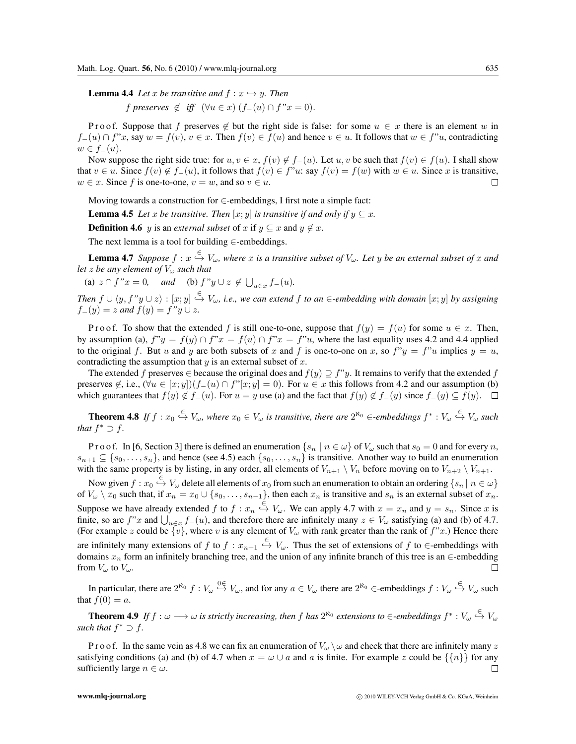**Lemma 4.4** Let x be transitive and  $f: x \hookrightarrow y$ . Then

 $f$  *preserves*  $\notin$  *iff*  $(\forall u \in x)$   $(f_-(u) \cap f"x = 0)$ .

P r o o f. Suppose that f preserves  $\notin$  but the right side is false: for some  $u \in x$  there is an element w in  $f_-(u) \cap f''x$ , say  $w = f(v)$ ,  $v \in x$ . Then  $f(v) \in f(u)$  and hence  $v \in u$ . It follows that  $w \in f''u$ , contradicting  $w \in f_-(u)$ .

Now suppose the right side true: for  $u, v \in x$ ,  $f(v) \notin f_-(u)$ . Let  $u, v$  be such that  $f(v) \in f(u)$ . I shall show that  $v \in u$ . Since  $f(v) \notin f_-(u)$ , it follows that  $f(v) \in f''u$ : say  $f(v) = f(w)$  with  $w \in u$ . Since x is transitive,  $w \in \mathcal{x}$ . Since f is one-to-one,  $v = w$ , and so  $v \in \mathcal{u}$ .

Moving towards a construction for  $\in$ -embeddings, I first note a simple fact:

**Lemma 4.5** *Let* x *be transitive. Then* [x; y] *is transitive if and only if*  $y \subseteq x$ .

**Definition 4.6** y is an *external subset* of x if  $y \subseteq x$  and  $y \notin x$ .

The next lemma is a tool for building  $\in$ -embeddings.

**Lemma 4.7** Suppose  $f: x \stackrel{\in}{\to} V_\omega$ , where x is a transitive subset of  $V_\omega$ . Let y be an external subset of x and *let* z *be any element of*  $V_\omega$  *such that* 

(a)  $z \cap f''x = 0$ , and (b)  $f''y \cup z \notin \bigcup_{u \in x} f_-(u)$ .

*Then*  $f \cup \langle y, f''y \cup z \rangle : [x, y] \stackrel{\in}{\hookrightarrow} V_\omega$ , i.e., we can extend f to an ∈-embedding with domain  $[x, y]$  by assigning  $f_-(y) = z$  *and*  $f(y) = f''y \cup z$ *.* 

P r o o f. To show that the extended f is still one-to-one, suppose that  $f(y) = f(u)$  for some  $u \in \mathcal{x}$ . Then, by assumption (a),  $f''y = f(y) \cap f''x = f(u) \cap f''x = f''u$ , where the last equality uses 4.2 and 4.4 applied to the original f. But u and y are both subsets of x and f is one-to-one on x, so  $f''y = f''u$  implies  $y = u$ , contradicting the assumption that  $y$  is an external subset of  $x$ .

The extended f preserves  $\in$  because the original does and  $f(y) \supseteq f''y$ . It remains to verify that the extended f preserves  $\notin$ , i.e.,  $(\forall u \in [x, y])(f_{-}(u) \cap f'[x, y] = 0)$ . For  $u \in x$  this follows from 4.2 and our assumption (b) which guarantees that  $f(y) \notin f_-(u)$ . For  $u = y$  use (a) and the fact that  $f(y) \notin f_-(y)$  since  $f_-(y) \subseteq f(y)$ .

**Theorem 4.8** If  $f: x_0 \stackrel{\leftarrow}{\hookrightarrow} V_\omega$ , where  $x_0 \in V_\omega$  is transitive, there are  $2^{\aleph_0} \in$ -embeddings  $f^*: V_\omega \stackrel{\leftarrow}{\hookrightarrow} V_\omega$  such *that*  $f^* \supset f$ .

P r o o f. In [6, Section 3] there is defined an enumeration  $\{s_n \mid n \in \omega\}$  of  $V_\omega$  such that  $s_0 = 0$  and for every n,  $s_{n+1} \subseteq \{s_0,\ldots,s_n\}$ , and hence (see 4.5) each  $\{s_0,\ldots,s_n\}$  is transitive. Another way to build an enumeration with the same property is by listing, in any order, all elements of  $V_{n+1} \setminus V_n$  before moving on to  $V_{n+2} \setminus V_{n+1}$ .

Now given  $f: x_0 \stackrel{\leftarrow}{\hookrightarrow} V_\omega$  delete all elements of  $x_0$  from such an enumeration to obtain an ordering  $\{s_n | n \in \omega\}$ of  $V_\omega \setminus x_0$  such that, if  $x_n = x_0 \cup \{s_0, \ldots, s_{n-1}\}\$ , then each  $x_n$  is transitive and  $s_n$  is an external subset of  $x_n$ . Suppose we have already extended f to  $f: x_n \stackrel{\in}{\hookrightarrow} V_\omega$ . We can apply 4.7 with  $x = x_n$  and  $y = s_n$ . Since x is finite, so are f"x and  $\bigcup_{u \in x} f_-(u)$ , and therefore there are infinitely many  $z \in V_\omega$  satisfying (a) and (b) of 4.7. (For example z could be  $\{v\}$ , where v is any element of  $V_\omega$  with rank greater than the rank of  $f''x$ .) Hence there are infinitely many extensions of f to  $f: x_{n+1} \stackrel{\in}{\hookrightarrow} V_\omega$ . Thus the set of extensions of f to  $\in$ -embeddings with domains  $x_n$  form an infinitely branching tree, and the union of any infinite branch of this tree is an ∈-embedding from  $V_{\omega}$  to  $V_{\omega}$ .

In particular, there are  $2^{\aleph_0} f : V_\omega \stackrel{0 \in}{\to} V_\omega$ , and for any  $a \in V_\omega$  there are  $2^{\aleph_0} \in$ -embeddings  $f : V_\omega \stackrel{\in}{\hookrightarrow} V_\omega$  such that  $f(0) = a$ .

**Theorem 4.9** If  $f: \omega \longrightarrow \omega$  is strictly increasing, then f has  $2^{\aleph_0}$  extensions to  $\in$ -embeddings  $f^*: V_\omega \stackrel{\leftarrow}{\hookrightarrow} V_\omega$ *such that*  $f^* \supset f$ .

P r o o f. In the same vein as 4.8 we can fix an enumeration of  $V_\omega \setminus \omega$  and check that there are infinitely many z satisfying conditions (a) and (b) of 4.7 when  $x = \omega \cup a$  and a is finite. For example z could be  $\{\{n\}\}\$ for any sufficiently large  $n \in \omega$ .  $\Box$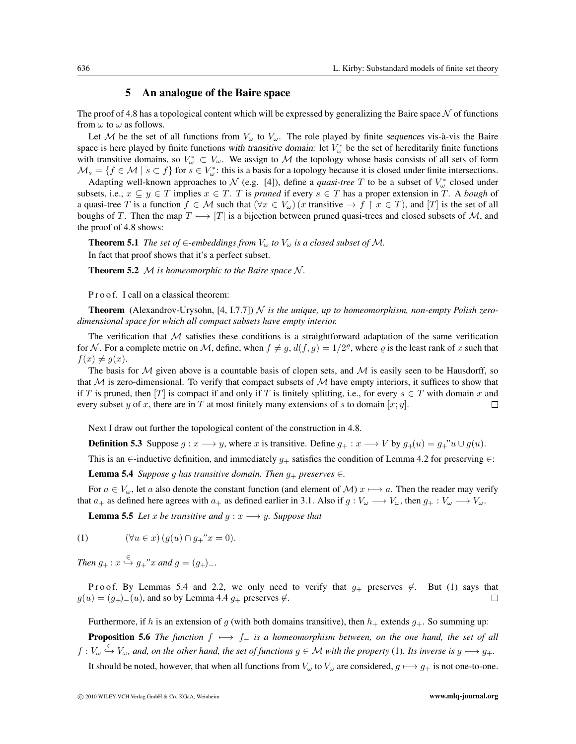## 5 An analogue of the Baire space

The proof of 4.8 has a topological content which will be expressed by generalizing the Baire space  $\mathcal N$  of functions from  $\omega$  to  $\omega$  as follows.

Let M be the set of all functions from  $V_\omega$  to  $V_\omega$ . The role played by finite *sequences* vis-à-vis the Baire space is here played by finite functions with transitive domain: let  $V^*_{\omega}$  be the set of hereditarily finite functions with transitive domains, so  $V^*_{\omega} \subset V_{\omega}$ . We assign to M the topology whose basis consists of all sets of form  $\mathcal{M}_s = \{f \in \mathcal{M} \mid s \subset f\}$  for  $s \in V^*_\omega$ : this is a basis for a topology because it is closed under finite intersections.

Adapting well-known approaches to  $\mathcal N$  (e.g. [4]), define a *quasi-tree* T to be a subset of  $V^*_{\omega}$  closed under subsets, i.e.,  $x \subseteq y \in T$  implies  $x \in T$ . T is *pruned* if every  $s \in T$  has a proper extension in T. A *bough* of a quasi-tree T is a function  $f \in \mathcal{M}$  such that  $(\forall x \in V_\omega)(x$  transitive  $\to f \restriction x \in T)$ , and  $[T]$  is the set of all boughs of T. Then the map  $T \mapsto [T]$  is a bijection between pruned quasi-trees and closed subsets of M, and the proof of 4.8 shows:

**Theorem 5.1** *The set of*  $\in$ *-embeddings from*  $V_{\omega}$  *to*  $V_{\omega}$  *is a closed subset of*  $M$ *.* In fact that proof shows that it's a perfect subset.

**Theorem 5.2**  $M$  *is homeomorphic to the Baire space*  $N$ *.* 

P r o o f. I call on a classical theorem:

**Theorem** (Alexandrov-Urysohn, [4, I.7.7])  $\mathcal N$  *is the unique, up to homeomorphism, non-empty Polish zerodimensional space for which all compact subsets have empty interior.*

The verification that  $M$  satisfies these conditions is a straightforward adaptation of the same verification for N. For a complete metric on M, define, when  $f \neq g$ ,  $d(f,g)=1/2^{\varrho}$ , where  $\varrho$  is the least rank of x such that  $f(x) \neq g(x)$ .

The basis for  $M$  given above is a countable basis of clopen sets, and  $M$  is easily seen to be Hausdorff, so that  $M$  is zero-dimensional. To verify that compact subsets of  $M$  have empty interiors, it suffices to show that if T is pruned, then |T| is compact if and only if T is finitely splitting, i.e., for every  $s \in T$  with domain x and every subset y of x, there are in T at most finitely many extensions of s to domain  $[x; y]$ .  $\Box$ 

Next I draw out further the topological content of the construction in 4.8.

**Definition 5.3** Suppose  $g: x \longrightarrow y$ , where x is transitive. Define  $g_+ : x \longrightarrow V$  by  $g_+(u) = g_+$ " $u \cup g(u)$ .

This is an ∈-inductive definition, and immediately  $g_+$  satisfies the condition of Lemma 4.2 for preserving  $\in$ :

**Lemma 5.4** *Suppose g has transitive domain. Then*  $g_+$  *preserves*  $\in$ *.* 

For  $a \in V_\omega$ , let a also denote the constant function (and element of M)  $x \mapsto a$ . Then the reader may verify that  $a_+$  as defined here agrees with  $a_+$  as defined earlier in 3.1. Also if  $g: V_\omega \longrightarrow V_\omega$ , then  $g_+ : V_\omega \longrightarrow V_\omega$ .

**Lemma 5.5** *Let* x *be transitive and*  $g: x \rightarrow y$ *. Suppose that* 

(1) 
$$
(\forall u \in x) (g(u) \cap g_{+} "x = 0).
$$

*Then*  $g_+$ :  $x \stackrel{\infty}{\hookrightarrow} g_+$ "*x* and  $g = (g_+)_-.$ 

P roof. By Lemmas 5.4 and 2.2, we only need to verify that  $g_+$  preserves  $\notin$ . But (1) says that  $\Box$  $g(u) = (g_{+})_{-}(u)$ , and so by Lemma 4.4  $g_{+}$  preserves  $\notin$ .

Furthermore, if h is an extension of g (with both domains transitive), then  $h_+$  extends  $g_+$ . So summing up:

**Proposition 5.6** *The function*  $f \mapsto f$  *is a homeomorphism between, on the one hand, the set of all*  $f: V_\omega \overset{\leftarrow}{\hookrightarrow} V_\omega$ , and, on the other hand, the set of functions  $g \in \mathcal{M}$  with the property (1). Its inverse is  $g \longmapsto g_+$ .

It should be noted, however, that when all functions from  $V_\omega$  to  $V_\omega$  are considered,  $g \mapsto g_+$  is not one-to-one.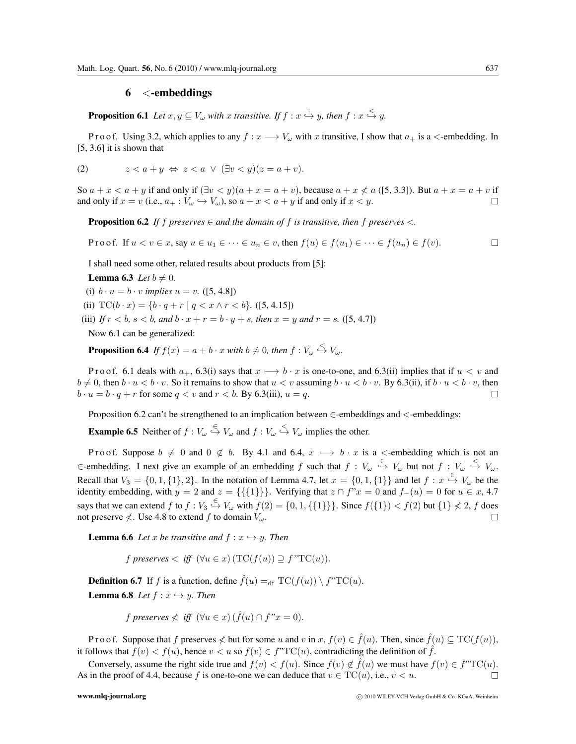## 6 <-embeddings

**Proposition 6.1** Let  $x, y \subseteq V_\omega$  with x transitive. If  $f : x \stackrel{\cdot}{\hookrightarrow} y$ , then  $f : x \stackrel{\leq}{\hookrightarrow} y$ .

P r o o f. Using 3.2, which applies to any  $f: x \longrightarrow V_\omega$  with x transitive, I show that  $a_+$  is a  $\lt$ -embedding. In  $[5, 3.6]$  it is shown that

(2) 
$$
z < a + y \Leftrightarrow z < a \lor (\exists v < y)(z = a + v).
$$

So  $a + x < a + y$  if and only if  $(\exists v < y)(a + x = a + v)$ , because  $a + x \nless a$  ([5, 3.3]). But  $a + x = a + v$  if  $\Box$ and only if  $x = v$  (i.e.,  $a_+ : V_\omega \hookrightarrow V_\omega$ ), so  $a + x < a + y$  if and only if  $x < y$ .

**Proposition 6.2** If f preserves  $\in$  and the domain of f is transitive, then f preserves  $\leq$ .

P r o o f. If  $u < v \in x$ , say  $u \in u_1 \in \cdots \in u_n \in v$ , then  $f(u) \in f(u_1) \in \cdots \in f(u_n) \in f(v)$ .  $\Box$ 

I shall need some other, related results about products from [5]:

**Lemma 6.3** *Let*  $b \neq 0$ *.* 

(i)  $b \cdot u = b \cdot v$  *implies*  $u = v$ . ([5, 4.8])

(ii)  $TC(b \cdot x) = \{b \cdot q + r \mid q < x \land r < b\}.$  ([5, 4.15])

(iii) *If*  $r < b$ ,  $s < b$ , and  $b \cdot x + r = b \cdot y + s$ , then  $x = y$  and  $r = s$ . ([5, 4.7])

Now 6.1 can be generalized:

**Proposition 6.4** If  $f(x) = a + b \cdot x$  with  $b \neq 0$ , then  $f: V_{\omega} \stackrel{\leq}{\hookrightarrow} V_{\omega}$ .

P r o o f. 6.1 deals with  $a_+$ , 6.3(i) says that  $x \mapsto b \cdot x$  is one-to-one, and 6.3(ii) implies that if  $u < v$  and  $b \neq 0$ , then  $b \cdot u < b \cdot v$ . So it remains to show that  $u < v$  assuming  $b \cdot u < b \cdot v$ . By 6.3(ii), if  $b \cdot u < b \cdot v$ , then  $b \cdot u = b \cdot q + r$  for some  $q < v$  and  $r < b$ . By 6.3(iii),  $u = q$ .  $\Box$ 

Proposition 6.2 can't be strengthened to an implication between  $\in$ -embeddings and  $\leq$ -embeddings:

**Example 6.5** Neither of  $f: V_\omega \overset{\in}{\hookrightarrow} V_\omega$  and  $f: V_\omega \overset{\le}{\hookrightarrow} V_\omega$  implies the other.

P r o o f. Suppose  $b \neq 0$  and  $0 \notin b$ . By 4.1 and 6.4,  $x \mapsto b \cdot x$  is a  $\lt$ -embedding which is not an  $\in$ -embedding. I next give an example of an embedding f such that  $f: V_\omega \stackrel{\in}{\hookrightarrow} V_\omega$  but not  $f: V_\omega \stackrel{\le}{\hookrightarrow} V_\omega$ . Recall that  $V_3 = \{0, 1, \{1\}, 2\}$ . In the notation of Lemma 4.7, let  $x = \{0, 1, \{1\}\}\$ and let  $f: x \stackrel{\leftarrow}{\rightarrow} V_\omega$  be the identity embedding, with  $y = 2$  and  $z = \{\{\{1\}\}\}\.$  Verifying that  $z \cap f''x = 0$  and  $f_-(u) = 0$  for  $u \in x$ , 4.7 says that we can extend f to  $f: V_3 \stackrel{\epsilon}{\hookrightarrow} V_\omega$  with  $f(2) = \{0, 1, \{\{1\}\}\}\.$  Since  $f(\{1\}) < f(2)$  but  $\{1\} \nless 2$ , f does not preserve  $\nless$ . Use 4.8 to extend f to domain  $V_{\omega}$ .  $\Box$ 

**Lemma 6.6** Let x be transitive and  $f: x \hookrightarrow y$ . Then

f *preserves*  $\langle$  *iff*  $(\forall u \in x)$   $(TC(f(u)) \supseteq f''TC(u)).$ 

**Definition 6.7** If f is a function, define  $\hat{f}(u) =_{df} \text{TC}(f(u)) \setminus f''\text{TC}(u)$ .

**Lemma 6.8** *Let*  $f: x \hookrightarrow y$ *. Then* 

f preserves 
$$
\nless
$$
 iff  $(\forall u \in x) (\hat{f}(u) \cap f"x = 0).$ 

P r o o f. Suppose that f preserves  $\neq$  but for some u and v in  $x, f(v) \in \hat{f}(u)$ . Then, since  $\hat{f}(u) \subseteq TC(f(u))$ , it follows that  $f(v) < f(u)$ , hence  $v < u$  so  $f(v) \in f^{\prime\prime}TC(u)$ , contradicting the definition of  $\hat{f}$ .

Conversely, assume the right side true and  $f(v) < f(u)$ . Since  $f(v) \notin \hat{f}(u)$  we must have  $f(v) \in f^{\prime}TC(u)$ . As in the proof of 4.4, because f is one-to-one we can deduce that  $v \in TC(u)$ , i.e.,  $v < u$ .  $\Box$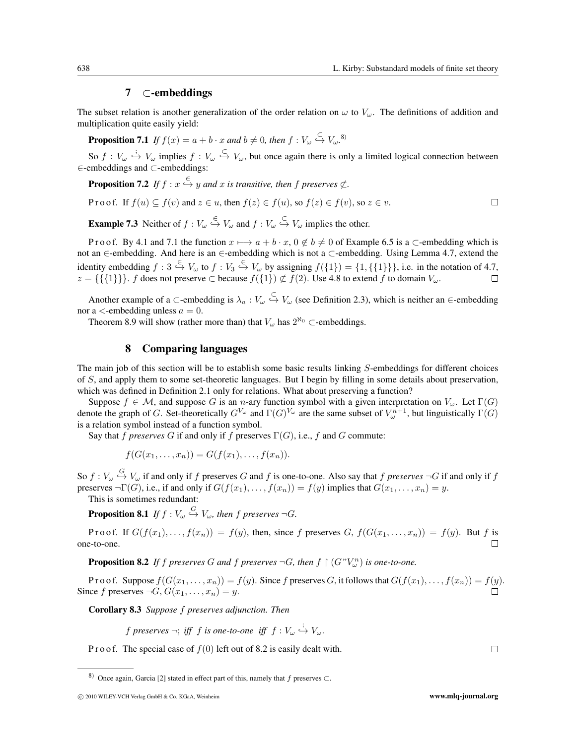# 7 ⊂-embeddings

The subset relation is another generalization of the order relation on  $\omega$  to  $V_{\omega}$ . The definitions of addition and multiplication quite easily yield:

**Proposition 7.1** If  $f(x) = a + b \cdot x$  and  $b \neq 0$ , then  $f: V_{\omega} \overset{\subset}{\hookrightarrow} V_{\omega}$ .<sup>8)</sup>

So  $f: V_\omega \stackrel{i}{\hookrightarrow} V_\omega$  implies  $f: V_\omega \stackrel{\subset}{\hookrightarrow} V_\omega$ , but once again there is only a limited logical connection between ∈-embeddings and ⊂-embeddings:

**Proposition 7.2** If  $f: x \stackrel{\infty}{\hookrightarrow} y$  and  $x$  is transitive, then  $f$  preserves  $\notsubset$ .

Proof. If 
$$
f(u) \subseteq f(v)
$$
 and  $z \in u$ , then  $f(z) \in f(u)$ , so  $f(z) \in f(v)$ , so  $z \in v$ .

**Example 7.3** Neither of  $f: V_\omega \overset{\leftarrow}{\hookrightarrow} V_\omega$  and  $f: V_\omega \overset{\leftarrow}{\hookrightarrow} V_\omega$  implies the other.

P r o o f. By 4.1 and 7.1 the function  $x \mapsto a + b \cdot x$ ,  $0 \notin b \neq 0$  of Example 6.5 is a  $\subset$ -embedding which is not an ∈-embedding. And here is an ∈-embedding which is not a ⊂-embedding. Using Lemma 4.7, extend the identity embedding  $f: 3 \stackrel{\leftarrow}{\hookrightarrow} V_\omega$  to  $f: V_3 \stackrel{\leftarrow}{\hookrightarrow} V_\omega$  by assigning  $f({1}) = {1, \{\{1\}\}\}\}\$ , i.e. in the notation of 4.7,  $z = \{\{\{1\}\}\}\$ .  $f$  does not preserve  $\subset$  because  $f(\{1\}) \not\subset f(2)$ . Use 4.8 to extend  $f$  to domain  $V_{\omega}$ .

Another example of a ⊂-embedding is  $\lambda_a : V_\omega \overset{\leftarrow}{\hookrightarrow} V_\omega$  (see Definition 2.3), which is neither an ∈-embedding nor a  $\lt$ -embedding unless  $a = 0$ .

Theorem 8.9 will show (rather more than) that  $V_{\alpha}$  has  $2^{\aleph_0}$  ⊂-embeddings.

### 8 Comparing languages

The main job of this section will be to establish some basic results linking S-embeddings for different choices of S, and apply them to some set-theoretic languages. But I begin by filling in some details about preservation, which was defined in Definition 2.1 only for relations. What about preserving a function?

Suppose  $f \in \mathcal{M}$ , and suppose G is an n-ary function symbol with a given interpretation on  $V_\omega$ . Let  $\Gamma(G)$ denote the graph of G. Set-theoretically  $G^{V_\omega}$  and  $\Gamma(G)^{V_\omega}$  are the same subset of  $V_\omega^{n+1}$ , but linguistically  $\Gamma(G)$ is a relation symbol instead of a function symbol.

Say that f *preserves* G if and only if f preserves  $\Gamma(G)$ , i.e., f and G commute:

$$
f(G(x_1,\ldots,x_n))=G(f(x_1),\ldots,f(x_n)).
$$

So  $f: V_\omega \overset{G}{\hookrightarrow} V_\omega$  if and only if  $f$  preserves  $G$  and  $f$  is one-to-one. Also say that  $f$  *preserves*  $\neg G$  if and only if  $f$ preserves  $\neg \Gamma(G)$ , i.e., if and only if  $G(f(x_1),...,f(x_n)) = f(y)$  implies that  $G(x_1,...,x_n) = y$ .

This is sometimes redundant:

**Proposition 8.1** If  $f: V_\omega \overset{G}{\hookrightarrow} V_\omega$ , then  $f$  preserves  $\neg G$ .

Proof. If  $G(f(x_1),...,f(x_n)) = f(y)$ , then, since f preserves  $G, f(G(x_1,...,x_n)) = f(y)$ . But f is one-to-one.  $\Box$ 

**Proposition 8.2** If f preserves G and f preserves  $\neg G$ , then  $f \restriction (G^n V_\omega^n)$  is one-to-one.

P r o o f. Suppose  $f(G(x_1,...,x_n)) = f(y)$ . Since f preserves G, it follows that  $G(f(x_1),...,f(x_n)) = f(y)$ . Since f preserves  $\neg G, G(x_1, \ldots, x_n) = y$ .

Corollary 8.3 *Suppose* f *preserves adjunction. Then*

f preserves 
$$
\neg
$$
; iff f is one-to-one iff  $f: V_{\omega} \stackrel{i}{\hookrightarrow} V_{\omega}$ .

P r o o f. The special case of  $f(0)$  left out of 8.2 is easily dealt with.

<sup>8)</sup> Once again, Garcia [2] stated in effect part of this, namely that f preserves  $\subset$ .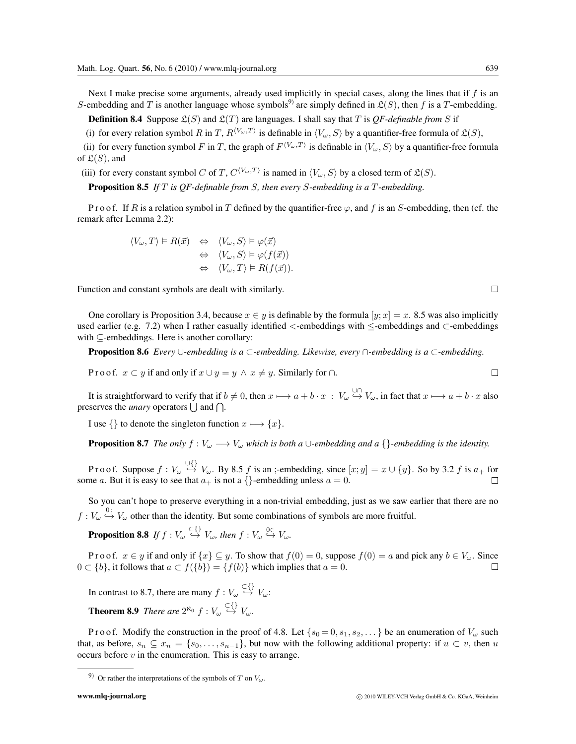Next I make precise some arguments, already used implicitly in special cases, along the lines that if  $f$  is an S-embedding and T is another language whose symbols<sup>9</sup> are simply defined in  $\mathfrak{L}(S)$ , then f is a T-embedding.

**Definition 8.4** Suppose  $\mathfrak{L}(S)$  and  $\mathfrak{L}(T)$  are languages. I shall say that T is QF-definable from S if

(i) for every relation symbol R in T,  $R^{(V_\omega,T)}$  is definable in  $\langle V_\omega, S \rangle$  by a quantifier-free formula of  $\mathfrak{L}(S)$ ,

(ii) for every function symbol F in T, the graph of  $F^{(V_\omega,T)}$  is definable in  $\langle V_\omega, S \rangle$  by a quantifier-free formula of  $\mathfrak{L}(S)$ , and

(iii) for every constant symbol C of T,  $C^{(V_\omega,T)}$  is named in  $\langle V_\omega, S \rangle$  by a closed term of  $\mathfrak{L}(S)$ .

Proposition 8.5 *If* T *is QF-definable from* S*, then every* S*-embedding is a* T*-embedding.*

P r o o f. If R is a relation symbol in T defined by the quantifier-free  $\varphi$ , and f is an S-embedding, then (cf. the remark after Lemma 2.2):

$$
\langle V_{\omega}, T \rangle \models R(\vec{x}) \Leftrightarrow \langle V_{\omega}, S \rangle \models \varphi(\vec{x}) \Leftrightarrow \langle V_{\omega}, S \rangle \models \varphi(f(\vec{x})) \Leftrightarrow \langle V_{\omega}, T \rangle \models R(f(\vec{x})).
$$

Function and constant symbols are dealt with similarly.

One corollary is Proposition 3.4, because  $x \in y$  is definable by the formula  $[y; x] = x$ . 8.5 was also implicitly used earlier (e.g. 7.2) when I rather casually identified <-embeddings with ≤-embeddings and ⊂-embeddings with ⊆-embeddings. Here is another corollary:

Proposition 8.6 *Every* ∪*-embedding is a* ⊂*-embedding. Likewise, every* ∩*-embedding is a* ⊂*-embedding.*

P r o o f.  $x \subset y$  if and only if  $x \cup y = y \land x \neq y$ . Similarly for  $\cap$ .

It is straightforward to verify that if  $b \neq 0$ , then  $x \mapsto a + b \cdot x : V_\omega \stackrel{\cup \sqcap}{\hookrightarrow} V_\omega$ , in fact that  $x \mapsto a + b \cdot x$  also preserves the *unary* operators  $\bigcup$  and  $\bigcap$ .

I use  $\{\}$  to denote the singleton function  $x \mapsto \{x\}.$ 

**Proposition 8.7** *The only*  $f : V_\omega \longrightarrow V_\omega$  *which is both a* ∪*-embedding and a*  $\}$ *-embedding is the identity.* 

Proof. Suppose  $f: V_\omega \stackrel{\cup \{\}}{\rightarrow} V_\omega$ . By 8.5 f is an ;-embedding, since  $[x; y] = x \cup \{y\}$ . So by 3.2 f is  $a_+$  for some a. But it is easy to see that  $a_+$  is not a {}-embedding unless  $a = 0$ .  $\Box$ 

So you can't hope to preserve everything in a non-trivial embedding, just as we saw earlier that there are no  $f: V_\omega \stackrel{0}{\hookrightarrow} V_\omega$  other than the identity. But some combinations of symbols are more fruitful.

**Proposition 8.8** If  $f: V_\omega \stackrel{\subset \{ \}}{\hookrightarrow} V_\omega$ , then  $f: V_\omega \stackrel{0 \in}{\hookrightarrow} V_\omega$ .

P r o o f.  $x \in y$  if and only if  $\{x\} \subseteq y$ . To show that  $f(0) = 0$ , suppose  $f(0) = a$  and pick any  $b \in V_\omega$ . Since  $0 \subset \{b\}$ , it follows that  $a \subset f(\{b\}) = \{f(b)\}\$ which implies that  $a = 0$ .  $\Box$ 

In contrast to 8.7, there are many  $f: V_\omega \stackrel{\subset \{ \}}{\hookrightarrow} V_\omega$ :

**Theorem 8.9** *There are*  $2^{\aleph_0} f : V_\omega \overset{\hookleftarrow}{\hookrightarrow} V_\omega$ .

P r o o f. Modify the construction in the proof of 4.8. Let  $\{s_0 = 0, s_1, s_2, \dots\}$  be an enumeration of  $V_\omega$  such that, as before,  $s_n \subseteq x_n = \{s_0, \ldots, s_{n-1}\}\$ , but now with the following additional property: if  $u \subset v$ , then u occurs before  $v$  in the enumeration. This is easy to arrange.

$$
\mathcal{L}_{\mathcal{L}_{\mathcal{L}}}
$$

 $\Box$ 

<sup>9)</sup> Or rather the interpretations of the symbols of T on  $V_\omega$ .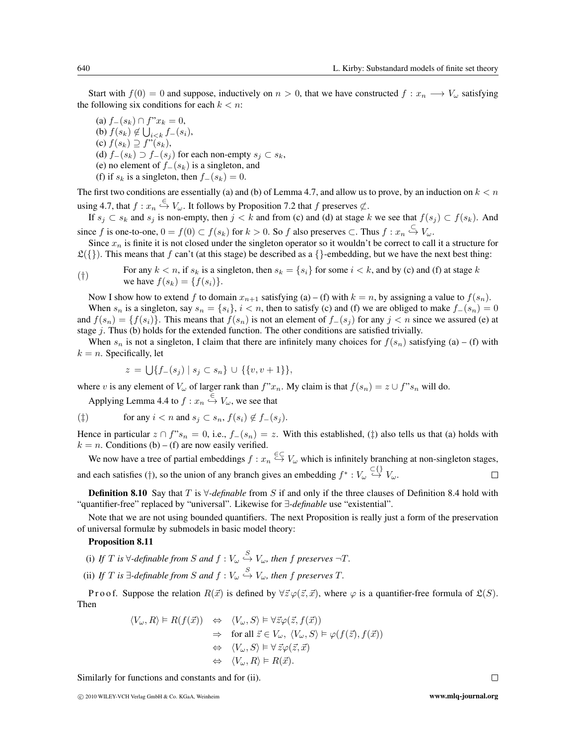Start with  $f(0) = 0$  and suppose, inductively on  $n > 0$ , that we have constructed  $f: x_n \longrightarrow V_\omega$  satisfying the following six conditions for each  $k < n$ :

(a)  $f_-(s_k) ∩ f"x_k = 0$ , (b)  $f(s_k) \notin \bigcup_{i \leq k} f_{-}(s_i)$ , (c)  $f(s_k) \supseteq f''(s_k)$ , (d)  $f_-(s_k)$  ⊃  $f_-(s_j)$  for each non-empty  $s_j \subset s_k$ , (e) no element of  $f_-(s_k)$  is a singleton, and (f) if  $s_k$  is a singleton, then  $f_-(s_k)=0$ .

The first two conditions are essentially (a) and (b) of Lemma 4.7, and allow us to prove, by an induction on  $k < n$ using 4.7, that  $f: x_n \stackrel{\in}{\hookrightarrow} V_\omega$ . It follows by Proposition 7.2 that f preserves  $\notsubset$ .

If  $s_i \text{ }\subset s_k$  and  $s_j$  is non-empty, then  $j < k$  and from (c) and (d) at stage k we see that  $f(s_j) \subset f(s_k)$ . And since f is one-to-one,  $0 = f(0) \subset f(s_k)$  for  $k > 0$ . So f also preserves  $\subset$ . Thus  $f: x_n \overset{\subset}{\hookrightarrow} V_\omega$ .

Since  $x_n$  is finite it is not closed under the singleton operator so it wouldn't be correct to call it a structure for  $\mathfrak{L}({})$ . This means that f can't (at this stage) be described as a  $\{\}$ -embedding, but we have the next best thing:

(†) For any  $k < n$ , if  $s_k$  is a singleton, then  $s_k = \{s_i\}$  for some  $i < k$ , and by (c) and (f) at stage k and by (c) and (f) at stage k we have  $f(s_k) = \{f(s_i)\}.$ 

Now I show how to extend f to domain  $x_{n+1}$  satisfying (a) – (f) with  $k = n$ , by assigning a value to  $f(s_n)$ . When  $s_n$  is a singleton, say  $s_n = \{s_i\}, i < n$ , then to satisfy (c) and (f) we are obliged to make  $f_-(s_n)=0$ and  $f(s_n) = \{f(s_i)\}\.$  This means that  $f(s_n)$  is not an element of  $f_-(s_i)$  for any  $j < n$  since we assured (e) at stage  $j$ . Thus (b) holds for the extended function. The other conditions are satisfied trivially.

When  $s_n$  is not a singleton, I claim that there are infinitely many choices for  $f(s_n)$  satisfying (a) – (f) with  $k = n$ . Specifically, let

$$
z = \bigcup \{ f_-(s_j) \mid s_j \subset s_n \} \cup \{ \{v, v+1\} \},\
$$

where v is any element of  $V_\omega$  of larger rank than  $f''x_n$ . My claim is that  $f(s_n) = z \cup f''s_n$  will do.

Applying Lemma 4.4 to  $f: x_n \overset{\epsilon}{\hookrightarrow} V_\omega$ , we see that

$$
(\ddag) \qquad \text{for any } i < n \text{ and } s_j \subset s_n, \, f(s_i) \notin f_-(s_j).
$$

Hence in particular  $z \cap f$ " $s_n = 0$ , i.e.,  $f_-(s_n) = z$ . With this established,  $(\frac{1}{k})$  also tells us that (a) holds with  $k = n$ . Conditions (b) – (f) are now easily verified.

We now have a tree of partial embeddings  $f: x_n \stackrel{\in\subset}{\to} V_\omega$  which is infinitely branching at non-singleton stages, and each satisfies (†), so the union of any branch gives an embedding  $f^* : V_\omega \overset{\subset \{ \}}{\rightarrow} V_\omega$ .  $\Box$ 

Definition 8.10 Say that T is ∀*-definable* from S if and only if the three clauses of Definition 8.4 hold with "quantifier-free" replaced by "universal". Likewise for ∃*-definable* use "existential".

Note that we are not using bounded quantifiers. The next Proposition is really just a form of the preservation of universal formulæ by submodels in basic model theory:

#### Proposition 8.11

(i) If T is  $\forall$ -definable from S and  $f: V_\omega \stackrel{S}{\hookrightarrow} V_\omega$ , then f preserves  $\neg T$ .

(ii) If T is  $\exists$ -definable from S and  $f: V_\omega \overset{S}{\hookrightarrow} V_\omega$ , then f preserves T.

P r o o f. Suppose the relation  $R(\vec{x})$  is defined by  $\forall \vec{z} \varphi(\vec{z}, \vec{x})$ , where  $\varphi$  is a quantifier-free formula of  $\mathfrak{L}(S)$ . Then

$$
\langle V_{\omega}, R \rangle \vDash R(f(\vec{x})) \Leftrightarrow \langle V_{\omega}, S \rangle \vDash \forall \vec{z} \varphi(\vec{z}, f(\vec{x}))
$$
  
\n
$$
\Rightarrow \text{ for all } \vec{z} \in V_{\omega}, \langle V_{\omega}, S \rangle \vDash \varphi(f(\vec{z}), f(\vec{x}))
$$
  
\n
$$
\Leftrightarrow \langle V_{\omega}, S \rangle \vDash \forall \vec{z} \varphi(\vec{z}, \vec{x})
$$
  
\n
$$
\Leftrightarrow \langle V_{\omega}, R \rangle \vDash R(\vec{x}).
$$

Similarly for functions and constants and for (ii).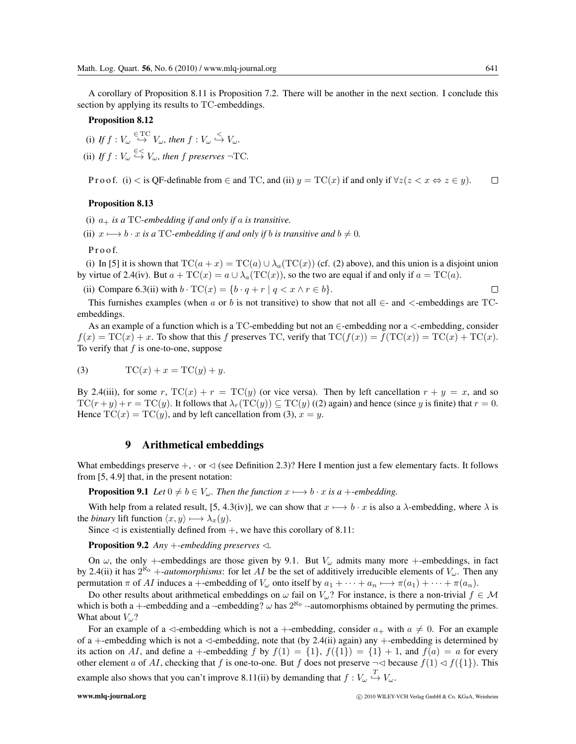A corollary of Proposition 8.11 is Proposition 7.2. There will be another in the next section. I conclude this section by applying its results to TC-embeddings.

Proposition 8.12

(i) If  $f: V_\omega \stackrel{\in \text{TC}}{\hookrightarrow} V_\omega$ , then  $f: V_\omega \stackrel{\lt}{\hookrightarrow} V_\omega$ . (ii) If  $f: V_\omega \overset{\in <}{\hookrightarrow} V_\omega$ , then  $f$  preserves  $\neg TC$ .

P r o o f. (i) < is QF-definable from  $\in$  and TC, and (ii)  $y = TC(x)$  if and only if  $\forall z(z \leq x \Leftrightarrow z \in y)$ .  $\Box$ 

#### Proposition 8.13

(i)  $a_+$  *is a* TC-embedding if and only if a *is transitive*.

(ii)  $x \mapsto b \cdot x$  *is a* TC-embedding if and only if *b is transitive and*  $b \neq 0$ *.* 

P r o o f.

(i) In [5] it is shown that  $TC(a + x) = TC(a) \cup \lambda_a (TC(x))$  (cf. (2) above), and this union is a disjoint union by virtue of 2.4(iv). But  $a + \text{TC}(x) = a \cup \lambda_a(\text{TC}(x))$ , so the two are equal if and only if  $a = \text{TC}(a)$ .

(ii) Compare 6.3(ii) with  $b \cdot TC(x) = \{b \cdot q + r \mid q < x \land r \in b\}.$ 

This furnishes examples (when a or b is not transitive) to show that not all  $\in$ - and  $\lt$ -embeddings are TCembeddings.

As an example of a function which is a TC-embedding but not an  $\in$ -embedding nor a  $\lt$ -embedding, consider  $f(x) = TC(x) + x$ . To show that this f preserves TC, verify that  $TC(f(x)) = f(TC(x)) = TC(x) + TC(x)$ . To verify that  $f$  is one-to-one, suppose

$$
(3) \tTC(x) + x = TC(y) + y.
$$

By 2.4(iii), for some r,  $TC(x) + r = TC(y)$  (or vice versa). Then by left cancellation  $r + y = x$ , and so  $TC(r + y) + r = TC(y)$ . It follows that  $\lambda_r(TC(y)) \subseteq TC(y)$  ((2) again) and hence (since y is finite) that  $r = 0$ . Hence  $TC(x) = TC(y)$ , and by left cancellation from (3),  $x = y$ .

## 9 Arithmetical embeddings

What embeddings preserve  $+$ ,  $\cdot$  or  $\lhd$  (see Definition 2.3)? Here I mention just a few elementary facts. It follows from [5, 4.9] that, in the present notation:

**Proposition 9.1** *Let*  $0 \neq b \in V_\omega$ *. Then the function*  $x \mapsto b \cdot x$  *is a* +*-embedding.* 

With help from a related result, [5, 4.3(iv)], we can show that  $x \mapsto b \cdot x$  is also a  $\lambda$ -embedding, where  $\lambda$  is the *binary* lift function  $\langle x, y \rangle \mapsto \lambda_x(y)$ .

Since  $\lhd$  is existentially defined from  $+$ , we have this corollary of 8.11:

**Proposition 9.2** *Any* +-embedding preserves  $\triangleleft$ .

On  $\omega$ , the only +-embeddings are those given by 9.1. But  $V_{\omega}$  admits many more +-embeddings, in fact by 2.4(ii) it has  $2^{\aleph_0}$  +-*automorphisms*: for let AI be the set of additively irreducible elements of  $V_\omega$ . Then any permutation  $\pi$  of AI induces a +-embedding of  $V_\omega$  onto itself by  $a_1 + \cdots + a_n \mapsto \pi(a_1) + \cdots + \pi(a_n)$ .

Do other results about arithmetical embeddings on  $\omega$  fail on  $V_{\omega}$ ? For instance, is there a non-trivial  $f \in \mathcal{M}$ which is both a +-embedding and a  $\cdot$ -embedding?  $\omega$  has  $2^{\aleph_0}$   $\cdot$ -automorphisms obtained by permuting the primes. What about  $V_{\omega}$ ?

For an example of a  $\triangleleft$ -embedding which is not a +-embedding, consider  $a_+$  with  $a \neq 0$ . For an example of a +-embedding which is not a  $\triangleleft$ -embedding, note that (by 2.4(ii) again) any +-embedding is determined by its action on AI, and define a +-embedding f by  $f(1) = \{1\}$ ,  $f(\{1\}) = \{1\} + 1$ , and  $f(a) = a$  for every other element a of AI, checking that f is one-to-one. But f does not preserve  $\neg \triangleleft$  because  $f(1) \triangleleft f({1})$ . This example also shows that you can't improve 8.11(ii) by demanding that  $f: V_\omega \stackrel{T}{\hookrightarrow} V_\omega$ .